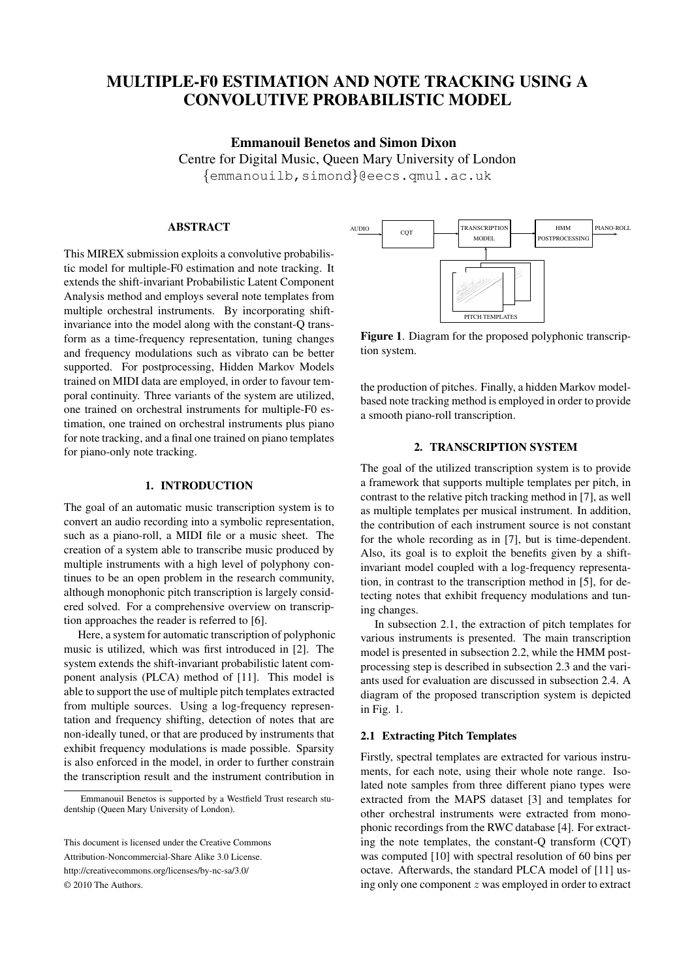# **MULTIPLE-F0 ESTIMATION AND NOTE TRACKING USING A CONVOLUTIVE PROBABILISTIC MODEL**

# **Emmanouil Benetos and Simon Dixon**

Centre for Digital Music, Queen Mary University of London

{emmanouilb,simond}@eecs.qmul.ac.uk

## **ABSTRACT**

This MIREX submission exploits a convolutive probabilistic model for multiple-F0 estimation and note tracking. It extends the shift-invariant Probabilistic Latent Component Analysis method and employs several note templates from multiple orchestral instruments. By incorporating shiftinvariance into the model along with the constant-Q transform as a time-frequency representation, tuning changes and frequency modulations such as vibrato can be better supported. For postprocessing, Hidden Markov Models trained on MIDI data are employed, in order to favour temporal continuity. Three variants of the system are utilized, one trained on orchestral instruments for multiple-F0 estimation, one trained on orchestral instruments plus piano for note tracking, and a final one trained on piano templates for piano-only note tracking.

## **1. INTRODUCTION**

The goal of an automatic music transcription system is to convert an audio recording into a symbolic representation, such as a piano-roll, a MIDI file or a music sheet. The creation of a system able to transcribe music produced by multiple instruments with a high level of polyphony continues to be an open problem in the research community, although monophonic pitch transcription is largely considered solved. For a comprehensive overview on transcription approaches the reader is referred to [6].

Here, a system for automatic transcription of polyphonic music is utilized, which was first introduced in [2]. The system extends the shift-invariant probabilistic latent component analysis (PLCA) method of [11]. This model is able to support the use of multiple pitch templates extracted from multiple sources. Using a log-frequency representation and frequency shifting, detection of notes that are non-ideally tuned, or that are produced by instruments that exhibit frequency modulations is made possible. Sparsity is also enforced in the model, in order to further constrain the transcription result and the instrument contribution in



**Figure 1**. Diagram for the proposed polyphonic transcription system.

the production of pitches. Finally, a hidden Markov modelbased note tracking method is employed in order to provide a smooth piano-roll transcription.

## **2. TRANSCRIPTION SYSTEM**

The goal of the utilized transcription system is to provide a framework that supports multiple templates per pitch, in contrast to the relative pitch tracking method in [7], as well as multiple templates per musical instrument. In addition, the contribution of each instrument source is not constant for the whole recording as in [7], but is time-dependent. Also, its goal is to exploit the benefits given by a shiftinvariant model coupled with a log-frequency representation, in contrast to the transcription method in [5], for detecting notes that exhibit frequency modulations and tuning changes.

In subsection 2.1, the extraction of pitch templates for various instruments is presented. The main transcription model is presented in subsection 2.2, while the HMM postprocessing step is described in subsection 2.3 and the variants used for evaluation are discussed in subsection 2.4. A diagram of the proposed transcription system is depicted in Fig. 1.

# **2.1 Extracting Pitch Templates**

Firstly, spectral templates are extracted for various instruments, for each note, using their whole note range. Isolated note samples from three different piano types were extracted from the MAPS dataset [3] and templates for other orchestral instruments were extracted from monophonic recordings from the RWC database [4]. For extracting the note templates, the constant-Q transform (CQT) was computed [10] with spectral resolution of 60 bins per octave. Afterwards, the standard PLCA model of [11] using only one component z was employed in order to extract

Emmanouil Benetos is supported by a Westfield Trust research studentship (Queen Mary University of London).

This document is licensed under the Creative Commons Attribution-Noncommercial-Share Alike 3.0 License. http://creativecommons.org/licenses/by-nc-sa/3.0/ © 2010 The Authors.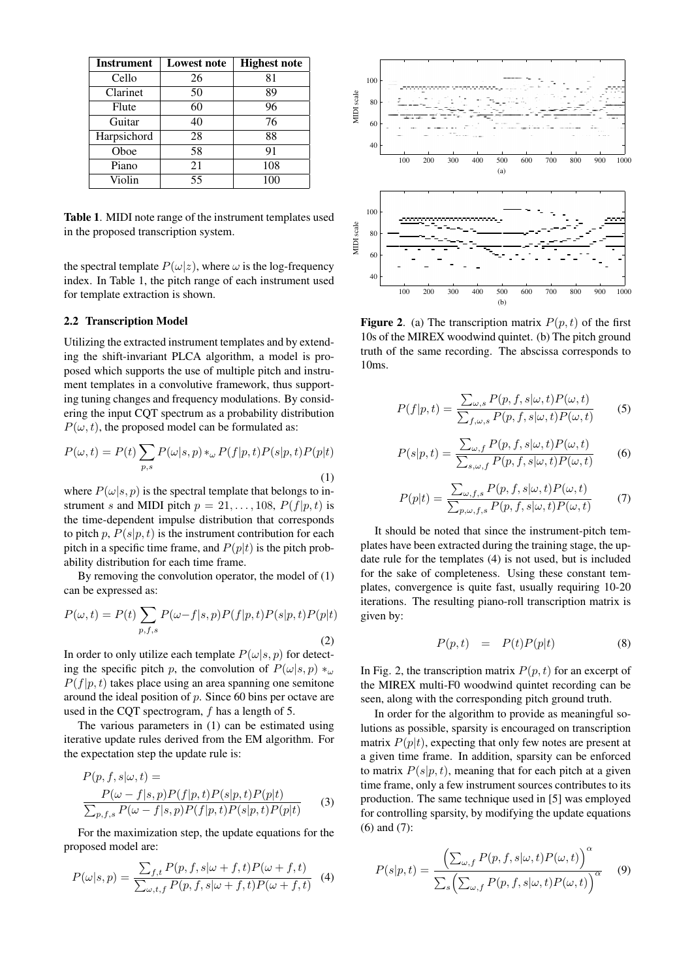| <b>Instrument</b> | <b>Lowest note</b> | <b>Highest note</b> |
|-------------------|--------------------|---------------------|
| Cello             | 26                 | 81                  |
| Clarinet          | 50                 | 89                  |
| Flute             | 60                 | 96                  |
| Guitar            | 40                 | 76                  |
| Harpsichord       | 28                 | 88                  |
| Oboe              | 58                 | 91                  |
| Piano             | 21                 | 108                 |
| Violin            | 55                 | 100                 |

**Table 1**. MIDI note range of the instrument templates used in the proposed transcription system.

the spectral template  $P(\omega|z)$ , where  $\omega$  is the log-frequency index. In Table 1, the pitch range of each instrument used for template extraction is shown.

#### **2.2 Transcription Model**

Utilizing the extracted instrument templates and by extending the shift-invariant PLCA algorithm, a model is proposed which supports the use of multiple pitch and instrument templates in a convolutive framework, thus supporting tuning changes and frequency modulations. By considering the input CQT spectrum as a probability distribution  $P(\omega, t)$ , the proposed model can be formulated as:

$$
P(\omega, t) = P(t) \sum_{p,s} P(\omega|s,p) *_{\omega} P(f|p,t) P(s|p,t) P(p|t)
$$
\n(1)

where  $P(\omega|s, p)$  is the spectral template that belongs to instrument s and MIDI pitch  $p = 21, \ldots, 108, P(f|p, t)$  is the time-dependent impulse distribution that corresponds to pitch p,  $P(s|p, t)$  is the instrument contribution for each pitch in a specific time frame, and  $P(p|t)$  is the pitch probability distribution for each time frame.

By removing the convolution operator, the model of (1) can be expressed as:

$$
P(\omega, t) = P(t) \sum_{p, f, s} P(\omega - f|s, p) P(f|p, t) P(s|p, t) P(p|t)
$$
\n(2)

In order to only utilize each template  $P(\omega|s, p)$  for detecting the specific pitch p, the convolution of  $P(\omega|s, p) *_{\omega}$  $P(f|p, t)$  takes place using an area spanning one semitone around the ideal position of  $p$ . Since 60 bins per octave are used in the CQT spectrogram, f has a length of 5.

The various parameters in (1) can be estimated using iterative update rules derived from the EM algorithm. For the expectation step the update rule is:

$$
P(p, f, s | \omega, t) =
$$
  
\n
$$
\frac{P(\omega - f | s, p)P(f | p, t)P(s | p, t)P(p | t)}{\sum_{p, f, s} P(\omega - f | s, p)P(f | p, t)P(s | p, t)P(p | t)}
$$
(3)

For the maximization step, the update equations for the proposed model are:

$$
P(\omega|s,p) = \frac{\sum_{f,t} P(p,f,s|\omega+f,t) P(\omega+f,t)}{\sum_{\omega,t,f} P(p,f,s|\omega+f,t) P(\omega+f,t)} \tag{4}
$$



**Figure 2.** (a) The transcription matrix  $P(p, t)$  of the first 10s of the MIREX woodwind quintet. (b) The pitch ground truth of the same recording. The abscissa corresponds to 10ms.

$$
P(f|p,t) = \frac{\sum_{\omega,s} P(p,f,s|\omega,t)P(\omega,t)}{\sum_{f,\omega,s} P(p,f,s|\omega,t)P(\omega,t)}
$$
(5)

$$
P(s|p,t) = \frac{\sum_{\omega,f} P(p,f,s|\omega,t)P(\omega,t)}{\sum_{s,\omega,f} P(p,f,s|\omega,t)P(\omega,t)}
$$
(6)

$$
P(p|t) = \frac{\sum_{\omega, f, s} P(p, f, s | \omega, t) P(\omega, t)}{\sum_{p, \omega, f, s} P(p, f, s | \omega, t) P(\omega, t)}
$$
(7)

It should be noted that since the instrument-pitch templates have been extracted during the training stage, the update rule for the templates (4) is not used, but is included for the sake of completeness. Using these constant templates, convergence is quite fast, usually requiring 10-20 iterations. The resulting piano-roll transcription matrix is given by:

$$
P(p,t) = P(t)P(p|t)
$$
 (8)

In Fig. 2, the transcription matrix  $P(p, t)$  for an excerpt of the MIREX multi-F0 woodwind quintet recording can be seen, along with the corresponding pitch ground truth.

In order for the algorithm to provide as meaningful solutions as possible, sparsity is encouraged on transcription matrix  $P(p|t)$ , expecting that only few notes are present at a given time frame. In addition, sparsity can be enforced to matrix  $P(s|p, t)$ , meaning that for each pitch at a given time frame, only a few instrument sources contributes to its production. The same technique used in [5] was employed for controlling sparsity, by modifying the update equations (6) and (7):

$$
P(s|p,t) = \frac{\left(\sum_{\omega,f} P(p,f,s|\omega,t)P(\omega,t)\right)^{\alpha}}{\sum_{s} \left(\sum_{\omega,f} P(p,f,s|\omega,t)P(\omega,t)\right)^{\alpha}}
$$
(9)